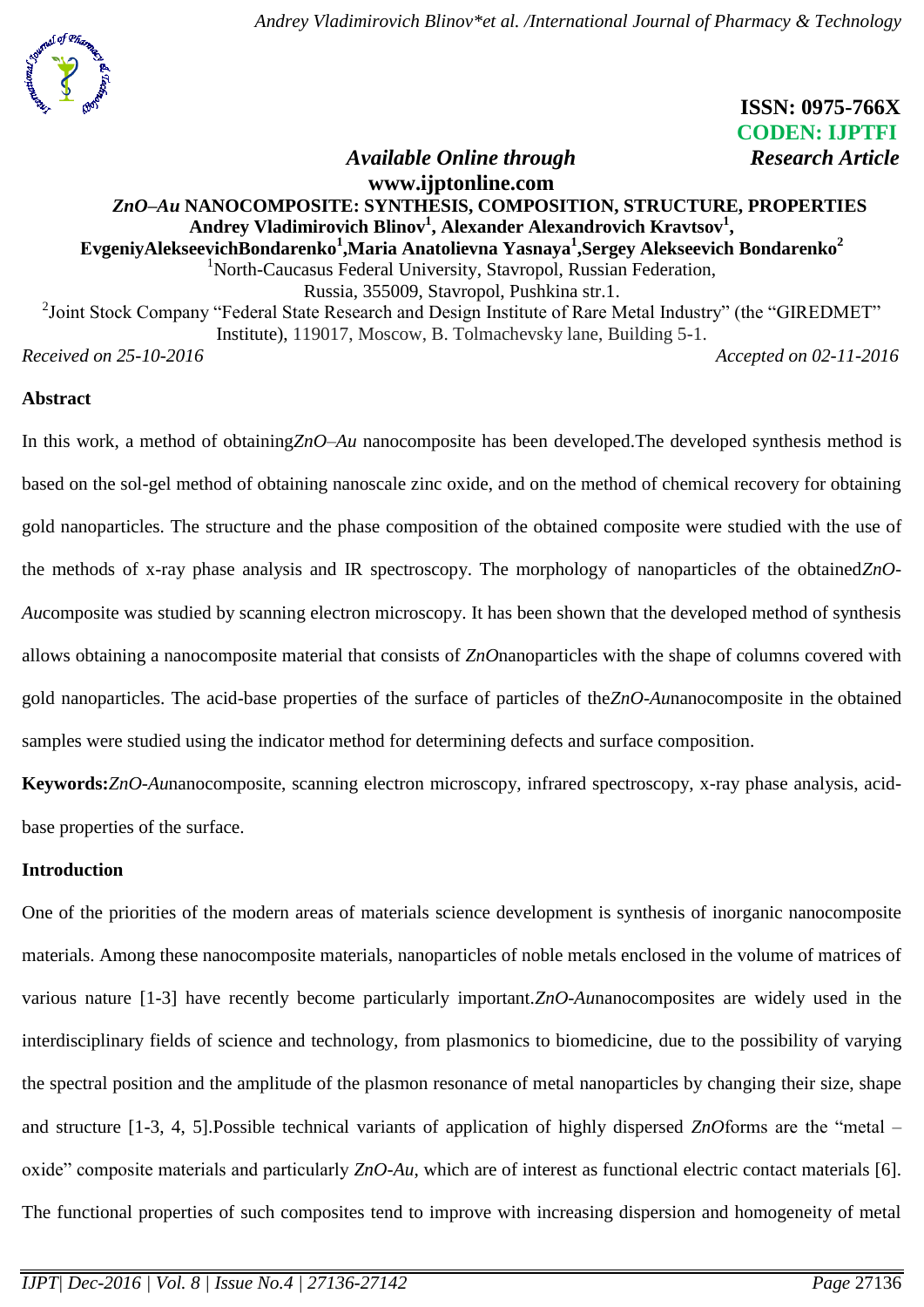

# **ISSN: 0975-766X CODEN: IJPTFI** *Available Online through* Research Article

# **[www.ijptonline.com](http://www.ijptonline.com/)** *ZnO–Au* **NANOCOMPOSITE: SYNTHESIS, COMPOSITION, STRUCTURE, PROPERTIES Andrey Vladimirovich Blinov<sup>1</sup> , Alexander Alexandrovich Kravtsov<sup>1</sup> , ЕvgeniyAlekseevichBondarenko<sup>1</sup> ,Maria Anatolievna Yasnaya<sup>1</sup> ,Sergey Alekseevich Bondarenko<sup>2</sup>** <sup>1</sup>[North-Caucasus Federal University,](http://eng.ncfu.ru/) Stavropol, Russian Federation, Russia, 355009, Stavropol, Pushkina str.1. <sup>2</sup>Joint Stock Company "Federal State Research and Design Institute of Rare Metal Industry" (the "GIREDMET" Institute), 119017, Moscow, B. Tolmachevsky lane, Building 5-1.

*Received on 25-10-2016 Accepted on 02-11-2016*

# **Abstract**

In this work, a method of obtaining*ZnO–Au* nanocomposite has been developed.The developed synthesis method is based on the sol-gel method of obtaining nanoscale zinc oxide, and on the method of chemical recovery for obtaining gold nanoparticles. The structure and the phase composition of the obtained composite were studied with the use of the methods of x-ray phase analysis and IR spectroscopy. The morphology of nanoparticles of the obtained*ZnO-Au*composite was studied by scanning electron microscopy. It has been shown that the developed method of synthesis allows obtaining a nanocomposite material that consists of *ZnO*nanoparticles with the shape of columns covered with gold nanoparticles. The acid-base properties of the surface of particles of the*ZnO-Au*nanocomposite in the obtained samples were studied using the indicator method for determining defects and surface composition.

**Keywords:***ZnO-Au*nanocomposite, scanning electron microscopy, infrared spectroscopy, x-ray phase analysis, acidbase properties of the surface.

# **Introduction**

One of the priorities of the modern areas of materials science development is synthesis of inorganic nanocomposite materials. Among these nanocomposite materials, nanoparticles of noble metals enclosed in the volume of matrices of various nature [1-3] have recently become particularly important.*ZnO-Au*nanocomposites are widely used in the interdisciplinary fields of science and technology, from plasmonics to biomedicine, due to the possibility of varying the spectral position and the amplitude of the plasmon resonance of metal nanoparticles by changing their size, shape and structure [1-3, 4, 5].Possible technical variants of application of highly dispersed *ZnO*forms are the "metal – oxide" composite materials and particularly *ZnO-Au*, which are of interest as functional electric contact materials [6]. The functional properties of such composites tend to improve with increasing dispersion and homogeneity of metal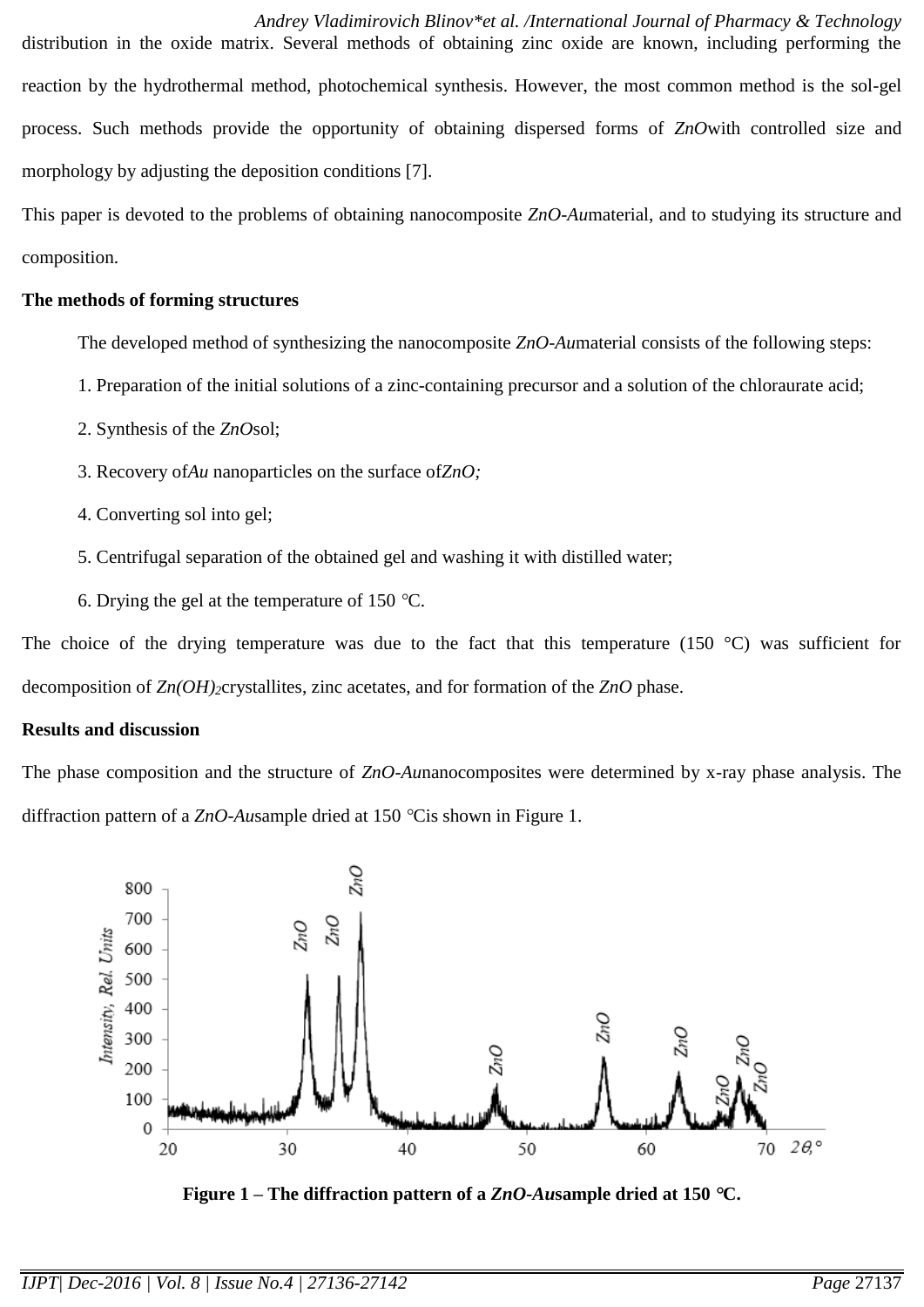*Andrey Vladimirovich Blinov\*et al. /International Journal of Pharmacy & Technology* distribution in the oxide matrix. Several methods of obtaining zinc oxide are known, including performing the reaction by the hydrothermal method, photochemical synthesis. However, the most common method is the sol-gel process. Such methods provide the opportunity of obtaining dispersed forms of *ZnO*with controlled size and morphology by adjusting the deposition conditions [7].

This paper is devoted to the problems of obtaining nanocomposite *ZnO-Au*material, and to studying its structure and composition.

### **The methods of forming structures**

The developed method of synthesizing the nanocomposite *ZnO-Au*material consists of the following steps:

- 1. Preparation of the initial solutions of a zinc-containing precursor and a solution of the chloraurate acid;
- 2. Synthesis of the *ZnO*sol;
- 3. Recovery of*Au* nanoparticles on the surface of*ZnO;*
- 4. Converting sol into gel;
- 5. Centrifugal separation of the obtained gel and washing it with distilled water;
- 6. Drying the gel at the temperature of 150  $^{\circ}$ C.

The choice of the drying temperature was due to the fact that this temperature (150  $^{\circ}$ C) was sufficient for decomposition of *Zn(OH)2*crystallites, zinc acetates, and for formation of the *ZnO* phase.

#### **Results and discussion**

The phase composition and the structure of *ZnO-Au*nanocomposites were determined by x-ray phase analysis. The diffraction pattern of a *ZnO-Ausample* dried at 150 °Cis shown in Figure 1.



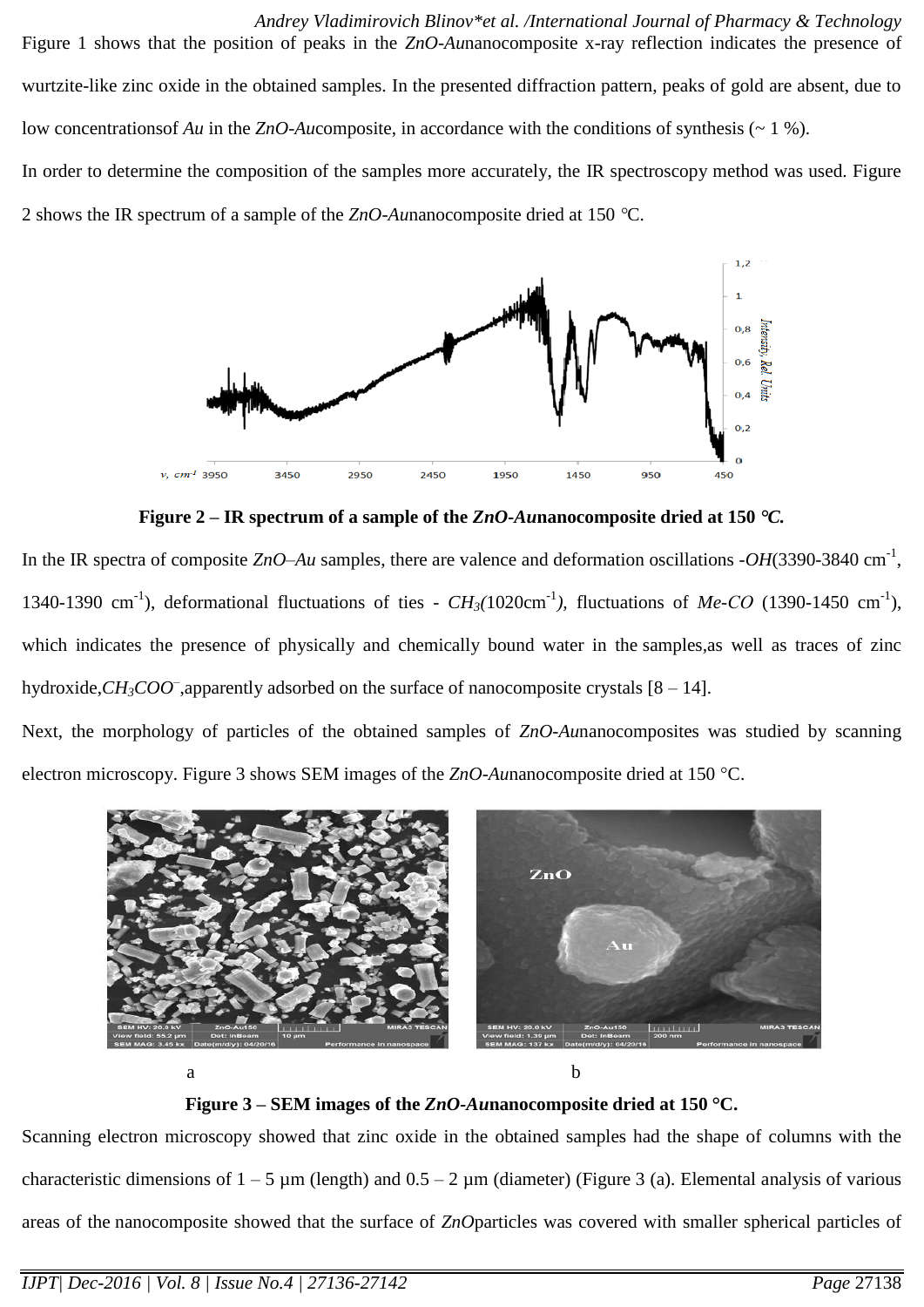*Andrey Vladimirovich Blinov\*et al. /International Journal of Pharmacy & Technology* Figure 1 shows that the position of peaks in the *ZnO-Au*nanocomposite x-ray reflection indicates the presence of wurtzite-like zinc oxide in the obtained samples. In the presented diffraction pattern, peaks of gold are absent, due to low concentrations of *Au* in the *ZnO-Aucomposite*, in accordance with the conditions of synthesis (~ 1 %). In order to determine the composition of the samples more accurately, the IR spectroscopy method was used. Figure

2 shows the IR spectrum of a sample of the *ZnO-Au*nanocomposite dried at 150 C.



**Figure 2 – IR spectrum of a sample of the** *ZnO-Au***nanocomposite dried at 150** *C.*

In the IR spectra of composite  $ZnO-Au$  samples, there are valence and deformation oscillations  $-OH(3390-3840 \text{ cm}^{-1})$ , 1340-1390 cm<sup>-1</sup>), deformational fluctuations of ties -  $CH_3(1020 \text{cm}^{-1})$ , fluctuations of Me-CO (1390-1450 cm<sup>-1</sup>), which indicates the presence of physically and chemically bound water in the samples*,*as well as traces of zinc hydroxide,*CH3COO–* ,apparently adsorbed on the surface of nanocomposite crystals [8 – 14].

Next, the morphology of particles of the obtained samples of *ZnO-Au*nanocomposites was studied by scanning electron microscopy. Figure 3 shows SEM images of the *ZnO-Aunanocomposite dried at* 150 °C.



**Figure 3 – SEM images of the** *ZnO-Au***nanocomposite dried at 150 C.**

Scanning electron microscopy showed that zinc oxide in the obtained samples had the shape of columns with the characteristic dimensions of  $1 - 5 \mu m$  (length) and  $0.5 - 2 \mu m$  (diameter) (Figure 3 (a). Elemental analysis of various areas of the nanocomposite showed that the surface of *ZnO*particles was covered with smaller spherical particles of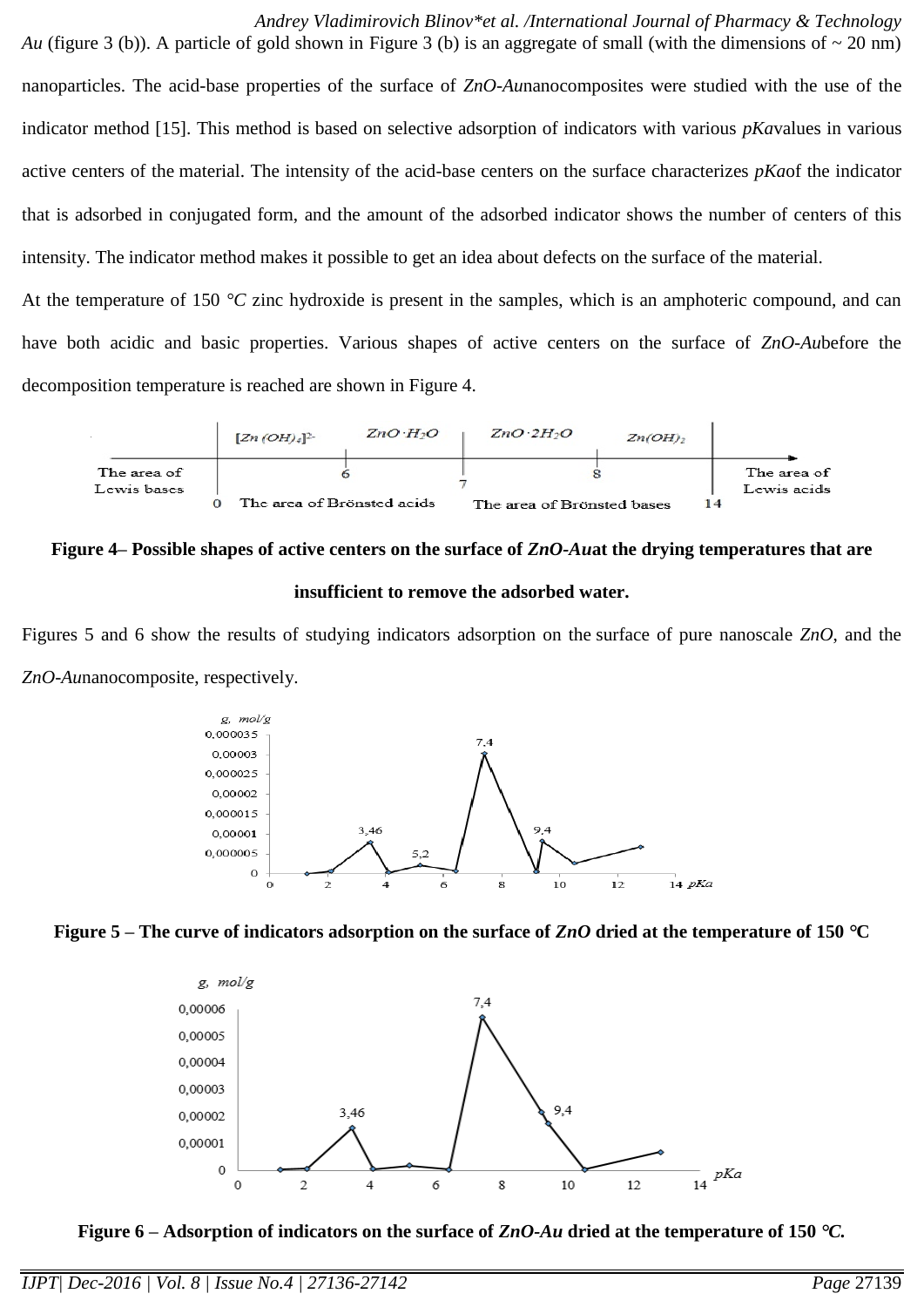*Andrey Vladimirovich Blinov\*et al. /International Journal of Pharmacy & Technology Au* (figure 3 (b)). A particle of gold shown in Figure 3 (b) is an aggregate of small (with the dimensions of  $\sim$  20 nm) nanoparticles. The acid-base properties of the surface of *ZnO-Au*nanocomposites were studied with the use of the indicator method [15]. This method is based on selective adsorption of indicators with various *pKa*values in various active centers of the material. The intensity of the acid-base centers on the surface characterizes *pKa*of the indicator that is adsorbed in conjugated form, and the amount of the adsorbed indicator shows the number of centers of this intensity. The indicator method makes it possible to get an idea about defects on the surface of the material.

At the temperature of 150 °C zinc hydroxide is present in the samples, which is an amphoteric compound, and can have both acidic and basic properties. Various shapes of active centers on the surface of *ZnO-Au*before the decomposition temperature is reached are shown in Figure 4.



#### **Figure 4– Possible shapes of active centers on the surface of** *ZnO-Au***at the drying temperatures that are**

#### **insufficient to remove the adsorbed water.**

Figures 5 and 6 show the results of studying indicators adsorption on the surface of pure nanoscale *ZnO*, and the *ZnO-Au*nanocomposite, respectively.







**Figure 6 – Adsorption of indicators on the surface of** *ZnO-Au* **dried at the temperature of 150** *C.*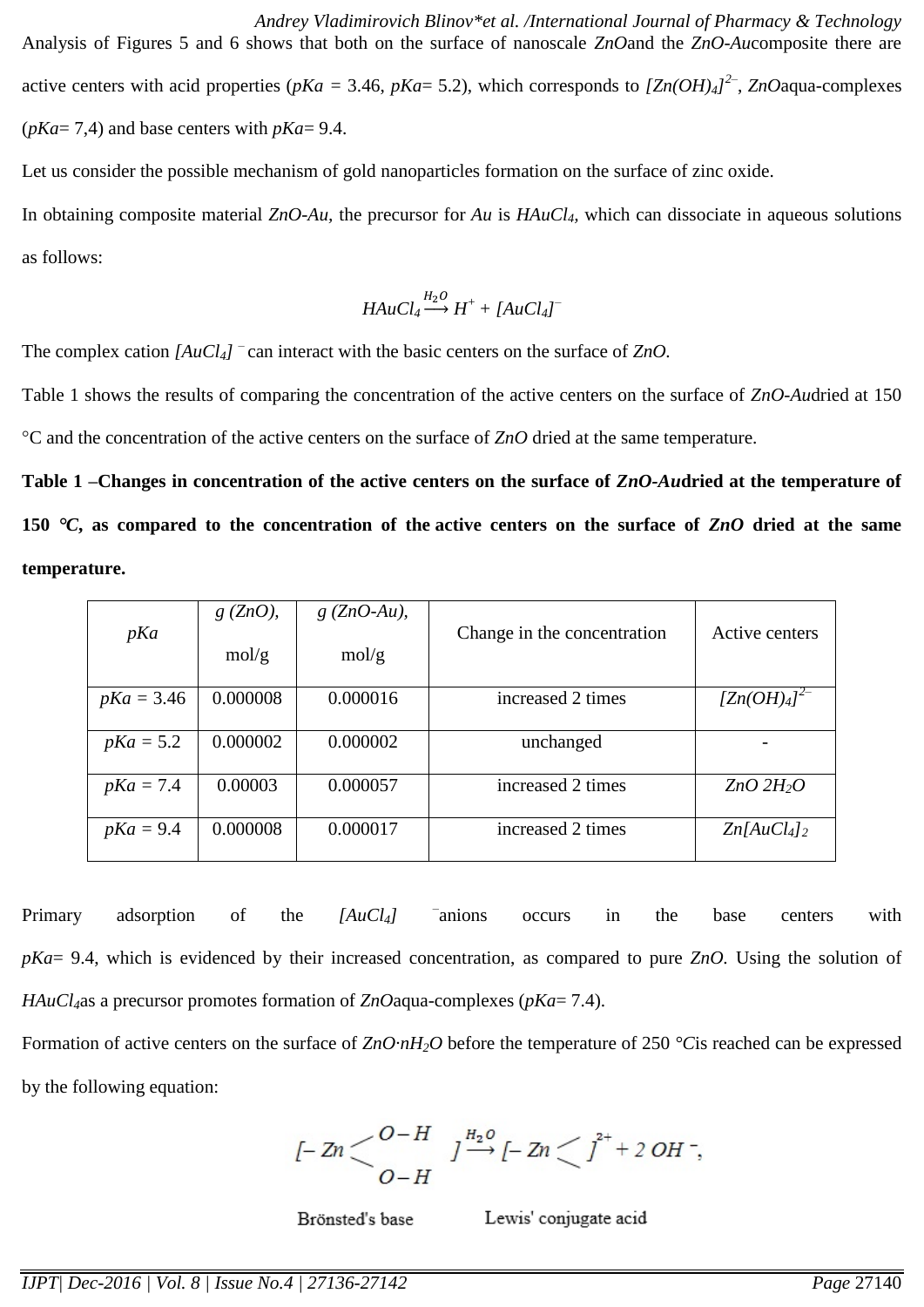*Andrey Vladimirovich Blinov\*et al. /International Journal of Pharmacy & Technology* Analysis of Figures 5 and 6 shows that both on the surface of nanoscale *ZnO*and the *ZnO-Au*composite there are active centers with acid properties ( $pKa = 3.46$ ,  $pKa = 5.2$ ), which corresponds to  $[Zn(OH)_4]^2$ <sup>-</sup>,  $ZnO$ aqua-complexes (*pKa*= 7,4) and base centers with *pKa*= 9.4.

Let us consider the possible mechanism of gold nanoparticles formation on the surface of zinc oxide. In obtaining composite material *ZnO-Au,* the precursor for *Au* is *HAuCl4,* which can dissociate in aqueous solutions as follows:

$$
HAuCl_4 \stackrel{H_2O}{\longrightarrow} H^+ + [AuCl_4]^-
$$

The complex cation *[AuCl4] –* can interact with the basic centers on the surface of *ZnO.*

Table 1 shows the results of comparing the concentration of the active centers on the surface of *ZnO-Au*dried at 150 C and the concentration of the active centers on the surface of *ZnO* dried at the same temperature.

**Table 1 –Changes in concentration of the active centers on the surface of** *ZnO-Au***dried at the temperature of 150** *C***, as compared to the concentration of the active centers on the surface of** *ZnO* **dried at the same temperature.**

| pKa          | $g(ZnO)$ ,<br>mol/g | $g(ZnO-Au)$ ,<br>mol/g | Change in the concentration | Active centers           |
|--------------|---------------------|------------------------|-----------------------------|--------------------------|
| $pKa = 3.46$ | 0.000008            | 0.000016               | increased 2 times           | $[Zn(OH)_4]^{2-}$        |
| $pKa = 5.2$  | 0.000002            | 0.000002               | unchanged                   |                          |
| $pKa = 7.4$  | 0.00003             | 0.000057               | increased 2 times           | $ZnO$ $2H_2O$            |
| $pKa = 9.4$  | 0.000008            | 0.000017               | increased 2 times           | $Zn[AuCl4]$ <sub>2</sub> |

Primary adsorption of the *[AuCl4] –* anions occurs in the base centers with *pKa*= 9.4, which is evidenced by their increased concentration, as compared to pure *ZnO.* Using the solution of *HAuCl4*as a precursor promotes formation of *ZnO*aqua-complexes (*pKa*= 7.4).

Formation of active centers on the surface of *ZnO·nH2O* before the temperature of 250 *°C*is reached can be expressed by the following equation:

$$
l-2n \leftarrow \begin{matrix} O-H & J\stackrel{H_2O}{\longrightarrow} l-2n \leftarrow J^{2+}+2 O H^-, \\ O-H & \end{matrix}
$$

Brönsted's base

Lewis' conjugate acid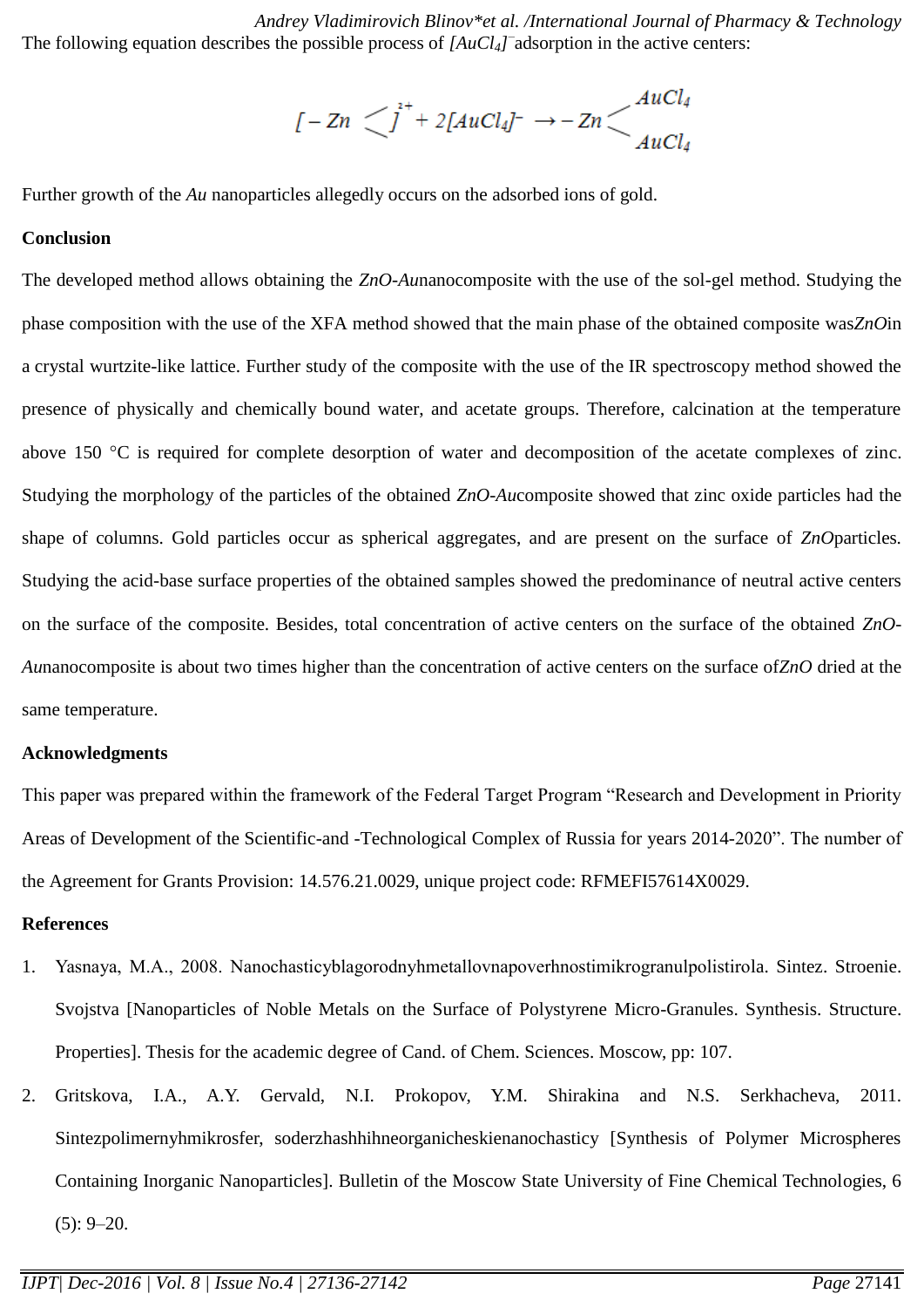*Andrey Vladimirovich Blinov\*et al. /International Journal of Pharmacy & Technology* The following equation describes the possible process of *[AuCl<sub>4</sub>]* adsorption in the active centers:

$$
[-\operatorname{Zn}^{\prime}\bigcup^{2+}+2[\operatorname{AuCl}_{4}]^{-}\to-\operatorname{Zn}\bigcup^{A\operatorname{uCl}_{4}}_{\operatorname{AuCl}_{4}}
$$

Further growth of the *Au* nanoparticles allegedly occurs on the adsorbed ions of gold.

#### **Conclusion**

The developed method allows obtaining the *ZnO-Au*nanocomposite with the use of the sol-gel method. Studying the phase composition with the use of the XFA method showed that the main phase of the obtained composite was*ZnO*in a crystal wurtzite-like lattice. Further study of the composite with the use of the IR spectroscopy method showed the presence of physically and chemically bound water, and acetate groups. Therefore, calcination at the temperature above 150  $^{\circ}$ C is required for complete desorption of water and decomposition of the acetate complexes of zinc. Studying the morphology of the particles of the obtained *ZnO-Au*composite showed that zinc oxide particles had the shape of columns. Gold particles occur as spherical aggregates, and are present on the surface of *ZnO*particles*.*  Studying the acid-base surface properties of the obtained samples showed the predominance of neutral active centers on the surface of the composite. Besides, total concentration of active centers on the surface of the obtained *ZnO-Au*nanocomposite is about two times higher than the concentration of active centers on the surface of*ZnO* dried at the same temperature.

#### **Acknowledgments**

This paper was prepared within the framework of the Federal Target Program "Research and Development in Priority Areas of Development of the Scientific-and -Technological Complex of Russia for years 2014-2020". The number of the Agreement for Grants Provision: 14.576.21.0029, unique project code: RFMEFI57614X0029.

#### **References**

- 1. Yasnaya, М.A., 2008. Nanochasticyblagorodnyhmetallovnapoverhnostimikrogranulpolistirola. Sintez. Stroenie. Svojstva [Nanoparticles of Noble Metals on the Surface of Polystyrene Micro-Granules. Synthesis. Structure. Properties]. Thesis for the academic degree of Cand. of Chem. Sciences. Moscow, pp: 107.
- 2. Gritskova, I.A., A.Y. Gervald, N.I. Prokopov, Y.M. Shirakina and N.S. Serkhacheva, 2011. Sintezpolimernyhmikrosfer, soderzhashhihneorganicheskienanochasticy [Synthesis of Polymer Microspheres Containing Inorganic Nanoparticles]. Bulletin of the Moscow State University of Fine Chemical Technologies, 6  $(5): 9 - 20.$